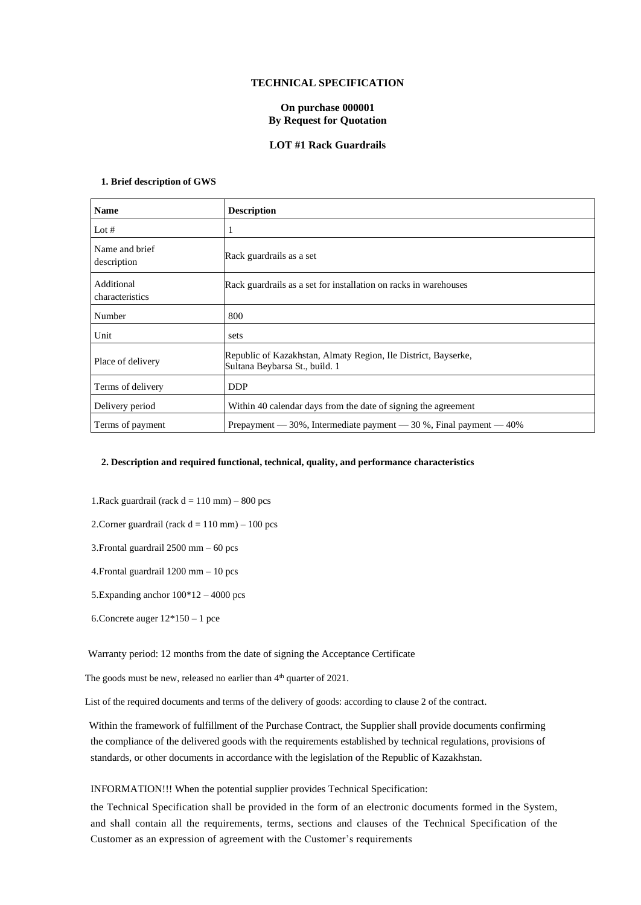## **TECHNICAL SPECIFICATION**

# **On purchase 000001 By Request for Quotation**

#### **LOT #1 Rack Guardrails**

# **1. Brief description of GWS**

| <b>Name</b>                   | <b>Description</b>                                                                               |
|-------------------------------|--------------------------------------------------------------------------------------------------|
| Lot $#$                       | 1                                                                                                |
| Name and brief<br>description | Rack guardrails as a set                                                                         |
| Additional<br>characteristics | Rack guardrails as a set for installation on racks in warehouses                                 |
| Number                        | 800                                                                                              |
| Unit                          | sets                                                                                             |
| Place of delivery             | Republic of Kazakhstan, Almaty Region, Ile District, Bayserke,<br>Sultana Beybarsa St., build. 1 |
| Terms of delivery             | <b>DDP</b>                                                                                       |
| Delivery period               | Within 40 calendar days from the date of signing the agreement                                   |
| Terms of payment              | Prepayment — 30%, Intermediate payment — 30 %, Final payment — 40%                               |

### **2. Description and required functional, technical, quality, and performance characteristics**

1.Rack guardrail (rack  $d = 110$  mm) – 800 pcs

2. Corner guardrail (rack  $d = 110$  mm)  $- 100$  pcs

3.Frontal guardrail 2500 mm – 60 pcs

4.Frontal guardrail 1200 mm – 10 pcs

5.Expanding anchor 100\*12 – 4000 pcs

6.Concrete auger 12\*150 – 1 pce

Warranty period: 12 months from the date of signing the Acceptance Certificate

The goods must be new, released no earlier than  $4<sup>th</sup>$  quarter of 2021.

List of the required documents and terms of the delivery of goods: according to clause 2 of the contract.

 Within the framework of fulfillment of the Purchase Contract, the Supplier shall provide documents confirming the compliance of the delivered goods with the requirements established by technical regulations, provisions of standards, or other documents in accordance with the legislation of the Republic of Kazakhstan.

#### INFORMATION!!! When the potential supplier provides Technical Specification:

the Technical Specification shall be provided in the form of an electronic documents formed in the System, and shall contain all the requirements, terms, sections and clauses of the Technical Specification of the Customer as an expression of agreement with the Customer's requirements